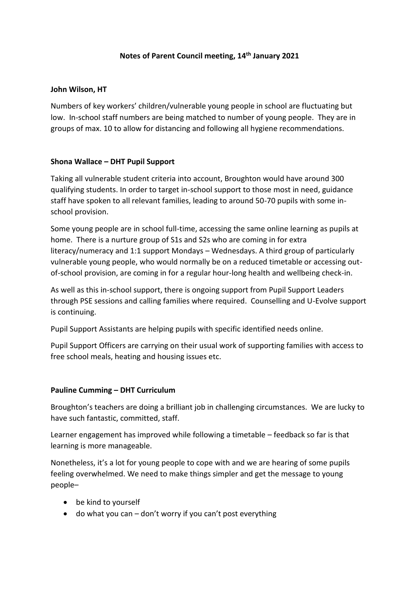### **Notes of Parent Council meeting, 14th January 2021**

#### **John Wilson, HT**

Numbers of key workers' children/vulnerable young people in school are fluctuating but low. In-school staff numbers are being matched to number of young people. They are in groups of max. 10 to allow for distancing and following all hygiene recommendations.

#### **Shona Wallace – DHT Pupil Support**

Taking all vulnerable student criteria into account, Broughton would have around 300 qualifying students. In order to target in-school support to those most in need, guidance staff have spoken to all relevant families, leading to around 50-70 pupils with some inschool provision.

Some young people are in school full-time, accessing the same online learning as pupils at home. There is a nurture group of S1s and S2s who are coming in for extra literacy/numeracy and 1:1 support Mondays – Wednesdays. A third group of particularly vulnerable young people, who would normally be on a reduced timetable or accessing outof-school provision, are coming in for a regular hour-long health and wellbeing check-in.

As well as this in-school support, there is ongoing support from Pupil Support Leaders through PSE sessions and calling families where required. Counselling and U-Evolve support is continuing.

Pupil Support Assistants are helping pupils with specific identified needs online.

Pupil Support Officers are carrying on their usual work of supporting families with access to free school meals, heating and housing issues etc.

#### **Pauline Cumming – DHT Curriculum**

Broughton's teachers are doing a brilliant job in challenging circumstances. We are lucky to have such fantastic, committed, staff.

Learner engagement has improved while following a timetable – feedback so far is that learning is more manageable.

Nonetheless, it's a lot for young people to cope with and we are hearing of some pupils feeling overwhelmed. We need to make things simpler and get the message to young people–

- be kind to yourself
- do what you can don't worry if you can't post everything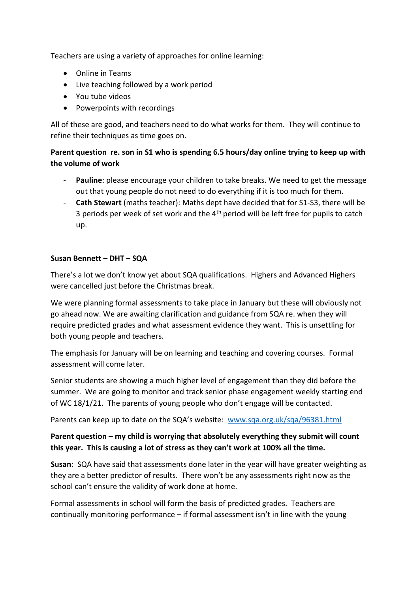Teachers are using a variety of approaches for online learning:

- Online in Teams
- Live teaching followed by a work period
- You tube videos
- Powerpoints with recordings

All of these are good, and teachers need to do what works for them. They will continue to refine their techniques as time goes on.

# **Parent question re. son in S1 who is spending 6.5 hours/day online trying to keep up with the volume of work**

- Pauline: please encourage your children to take breaks. We need to get the message out that young people do not need to do everything if it is too much for them.
- **Cath Stewart** (maths teacher): Maths dept have decided that for S1-S3, there will be 3 periods per week of set work and the  $4<sup>th</sup>$  period will be left free for pupils to catch up.

### **Susan Bennett – DHT – SQA**

There's a lot we don't know yet about SQA qualifications. Highers and Advanced Highers were cancelled just before the Christmas break.

We were planning formal assessments to take place in January but these will obviously not go ahead now. We are awaiting clarification and guidance from SQA re. when they will require predicted grades and what assessment evidence they want. This is unsettling for both young people and teachers.

The emphasis for January will be on learning and teaching and covering courses. Formal assessment will come later.

Senior students are showing a much higher level of engagement than they did before the summer. We are going to monitor and track senior phase engagement weekly starting end of WC 18/1/21. The parents of young people who don't engage will be contacted.

Parents can keep up to date on the SQA's website: [www.sqa.org.uk/sqa/96381.html](http://www.sqa.org.uk/sqa/96381.html)

# **Parent question – my child is worrying that absolutely everything they submit will count this year. This is causing a lot of stress as they can't work at 100% all the time.**

**Susan**: SQA have said that assessments done later in the year will have greater weighting as they are a better predictor of results. There won't be any assessments right now as the school can't ensure the validity of work done at home.

Formal assessments in school will form the basis of predicted grades. Teachers are continually monitoring performance – if formal assessment isn't in line with the young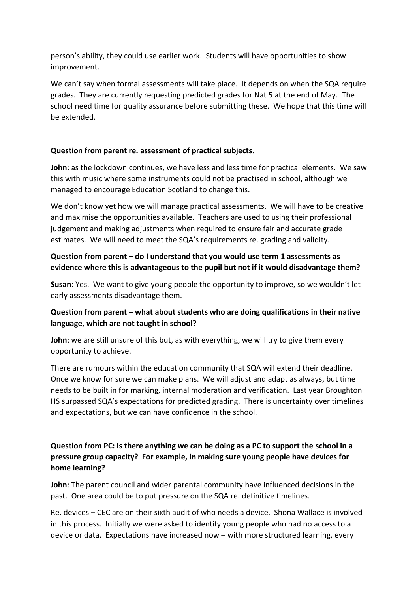person's ability, they could use earlier work. Students will have opportunities to show improvement.

We can't say when formal assessments will take place. It depends on when the SQA require grades. They are currently requesting predicted grades for Nat 5 at the end of May. The school need time for quality assurance before submitting these. We hope that this time will be extended.

### **Question from parent re. assessment of practical subjects.**

**John**: as the lockdown continues, we have less and less time for practical elements. We saw this with music where some instruments could not be practised in school, although we managed to encourage Education Scotland to change this.

We don't know yet how we will manage practical assessments. We will have to be creative and maximise the opportunities available. Teachers are used to using their professional judgement and making adjustments when required to ensure fair and accurate grade estimates. We will need to meet the SQA's requirements re. grading and validity.

# **Question from parent – do I understand that you would use term 1 assessments as evidence where this is advantageous to the pupil but not if it would disadvantage them?**

**Susan**: Yes. We want to give young people the opportunity to improve, so we wouldn't let early assessments disadvantage them.

### **Question from parent – what about students who are doing qualifications in their native language, which are not taught in school?**

**John**: we are still unsure of this but, as with everything, we will try to give them every opportunity to achieve.

There are rumours within the education community that SQA will extend their deadline. Once we know for sure we can make plans. We will adjust and adapt as always, but time needs to be built in for marking, internal moderation and verification. Last year Broughton HS surpassed SQA's expectations for predicted grading. There is uncertainty over timelines and expectations, but we can have confidence in the school.

# **Question from PC: Is there anything we can be doing as a PC to support the school in a pressure group capacity? For example, in making sure young people have devices for home learning?**

**John**: The parent council and wider parental community have influenced decisions in the past. One area could be to put pressure on the SQA re. definitive timelines.

Re. devices – CEC are on their sixth audit of who needs a device. Shona Wallace is involved in this process. Initially we were asked to identify young people who had no access to a device or data. Expectations have increased now – with more structured learning, every